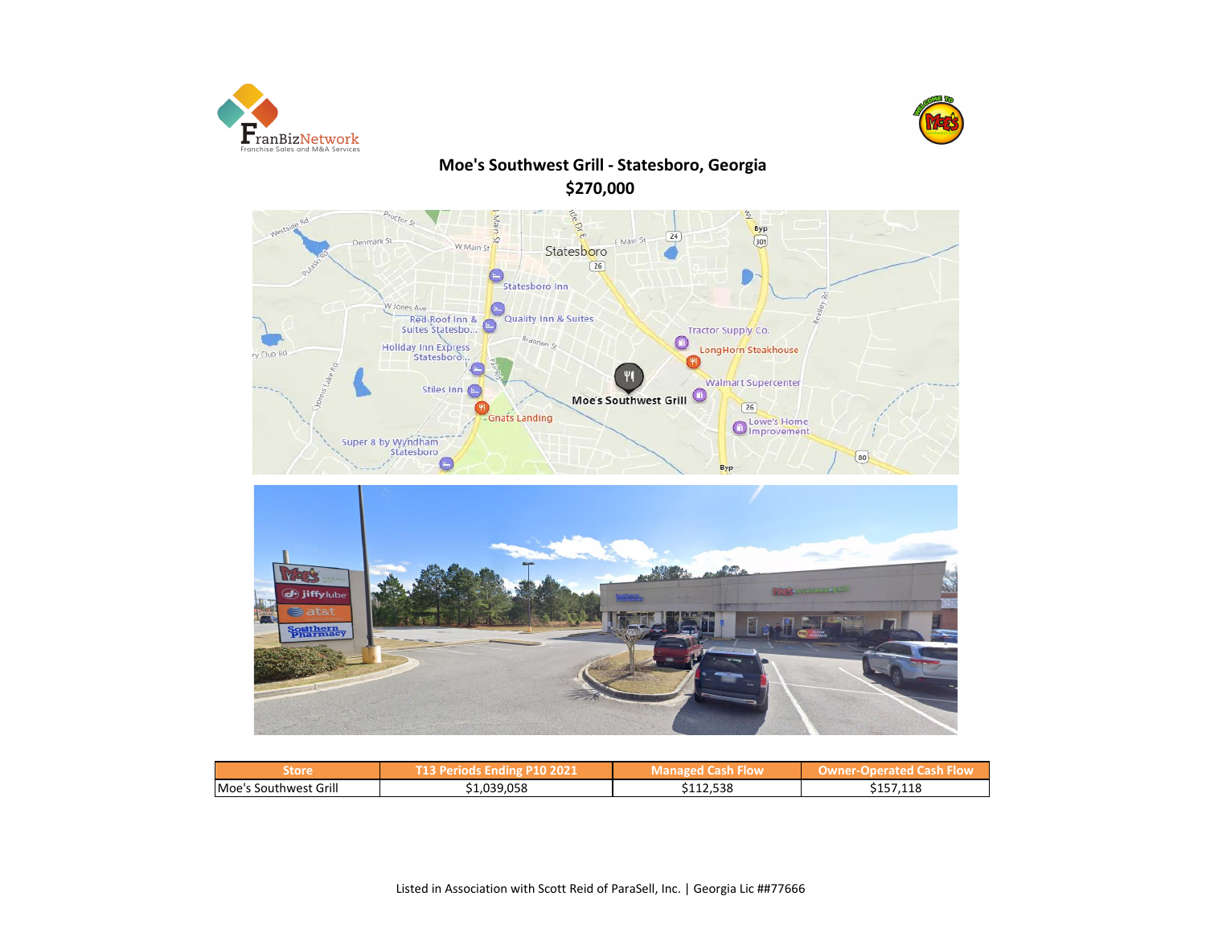



# **Moe's Southwest Grill - Statesboro, Georgia \$270,000**





| Store                 | P10 2021    | <b>Managed Cash Flow</b> | Operated Cash Flow<br>owne c |  |  |
|-----------------------|-------------|--------------------------|------------------------------|--|--|
| Moe's Southwest Grill | \$1,039,058 | \$112,538                | \$157,118                    |  |  |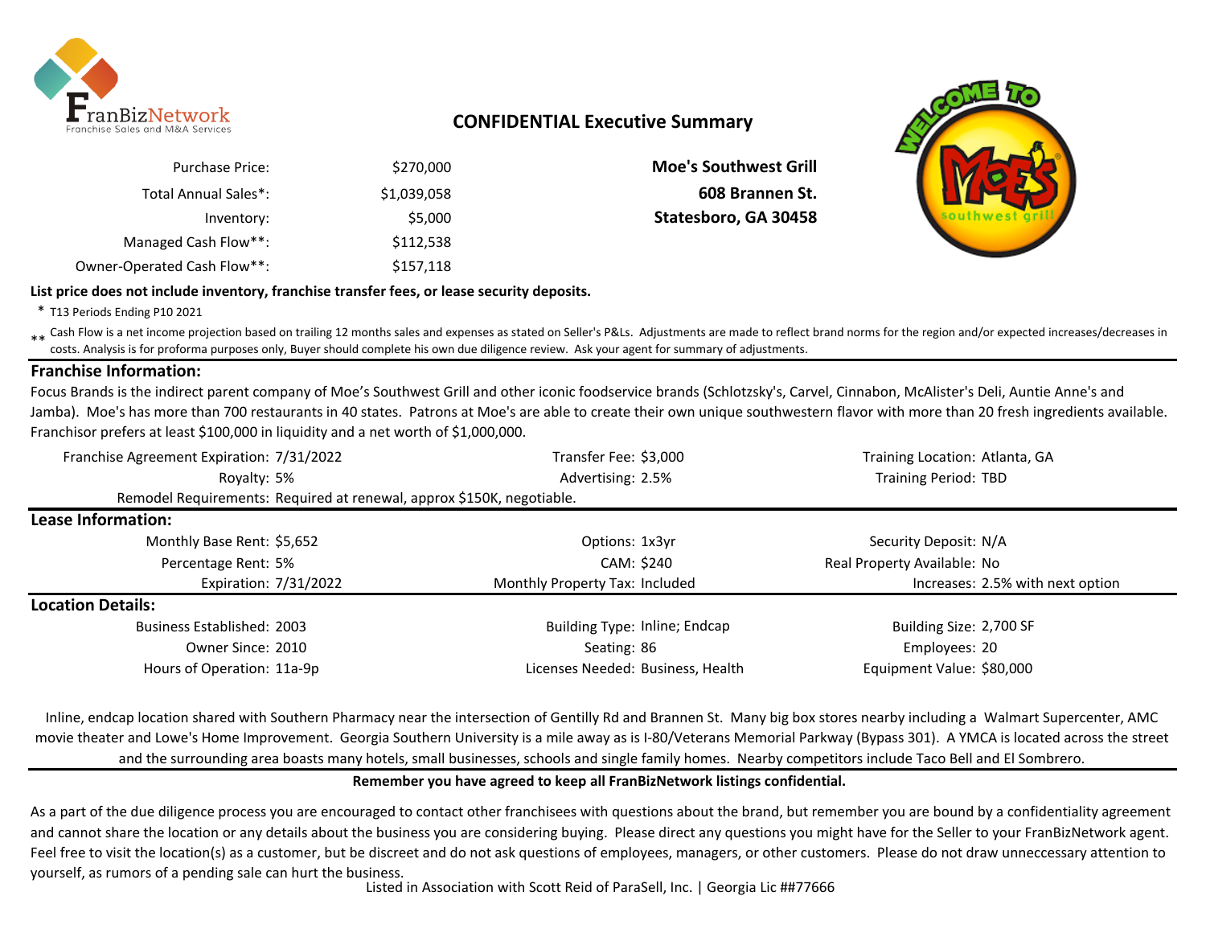

## **CONFIDENTIAL Executive Summary**

| <b>Purchase Price:</b>      | \$270,000   |
|-----------------------------|-------------|
| Total Annual Sales*:        | \$1,039,058 |
| Inventory:                  | \$5,000     |
| Managed Cash Flow**:        | \$112,538   |
| Owner-Operated Cash Flow**: | \$157,118   |

**Moe's Southwest Grill** \$1,039,058 **608 Brannen St.** Statesboro, GA 30458



**List price does not include inventory, franchise transfer fees, or lease security deposits.**

\* T13 Periods Ending P10 2021

\*\* Cash Flow is a net income projection based on trailing 12 months sales and expenses as stated on Seller's P&Ls. Adjustments are made to reflect brand norms for the region and/or expected increases/decreases in costs. Analysis is for proforma purposes only, Buyer should complete his own due diligence review. Ask your agent for summary of adjustments.

### **Franchise Information:**

Focus Brands is the indirect parent company of Moe's Southwest Grill and other iconic foodservice brands (Schlotzsky's, Carvel, Cinnabon, McAlister's Deli, Auntie Anne's and Jamba). Moe's has more than 700 restaurants in 40 states. Patrons at Moe's are able to create their own unique southwestern flavor with more than 20 fresh ingredients available. Franchisor prefers at least \$100,000 in liquidity and a net worth of \$1,000,000.

| Franchise Agreement Expiration: 7/31/2022                             | Transfer Fee: \$3,000             | Training Location: Atlanta, GA   |
|-----------------------------------------------------------------------|-----------------------------------|----------------------------------|
| Royalty: 5%                                                           | Advertising: 2.5%                 | <b>Training Period: TBD</b>      |
| Remodel Requirements: Required at renewal, approx \$150K, negotiable. |                                   |                                  |
| Lease Information:                                                    |                                   |                                  |
| Monthly Base Rent: \$5,652                                            | Options: 1x3yr                    | Security Deposit: N/A            |
| Percentage Rent: 5%                                                   | CAM: \$240                        | Real Property Available: No      |
| Expiration: 7/31/2022                                                 | Monthly Property Tax: Included    | Increases: 2.5% with next option |
| <b>Location Details:</b>                                              |                                   |                                  |
| <b>Business Established: 2003</b>                                     | Building Type: Inline; Endcap     | Building Size: 2,700 SF          |
| Owner Since: 2010                                                     | Seating: 86                       | Employees: 20                    |
| Hours of Operation: 11a-9p                                            | Licenses Needed: Business, Health | Equipment Value: \$80,000        |

Inline, endcap location shared with Southern Pharmacy near the intersection of Gentilly Rd and Brannen St. Many big box stores nearby including a Walmart Supercenter, AMC movie theater and Lowe's Home Improvement. Georgia Southern University is a mile away as is I-80/Veterans Memorial Parkway (Bypass 301). A YMCA is located across the street and the surrounding area boasts many hotels, small businesses, schools and single family homes. Nearby competitors include Taco Bell and El Sombrero.

## **Remember you have agreed to keep all FranBizNetwork listings confidential.**

As a part of the due diligence process you are encouraged to contact other franchisees with questions about the brand, but remember you are bound by a confidentiality agreement and cannot share the location or any details about the business you are considering buying. Please direct any questions you might have for the Seller to your FranBizNetwork agent. Feel free to visit the location(s) as a customer, but be discreet and do not ask questions of employees, managers, or other customers. Please do not draw unneccessary attention to yourself, as rumors of a pending sale can hurt the business.

Listed in Association with Scott Reid of ParaSell, Inc. | Georgia Lic ##77666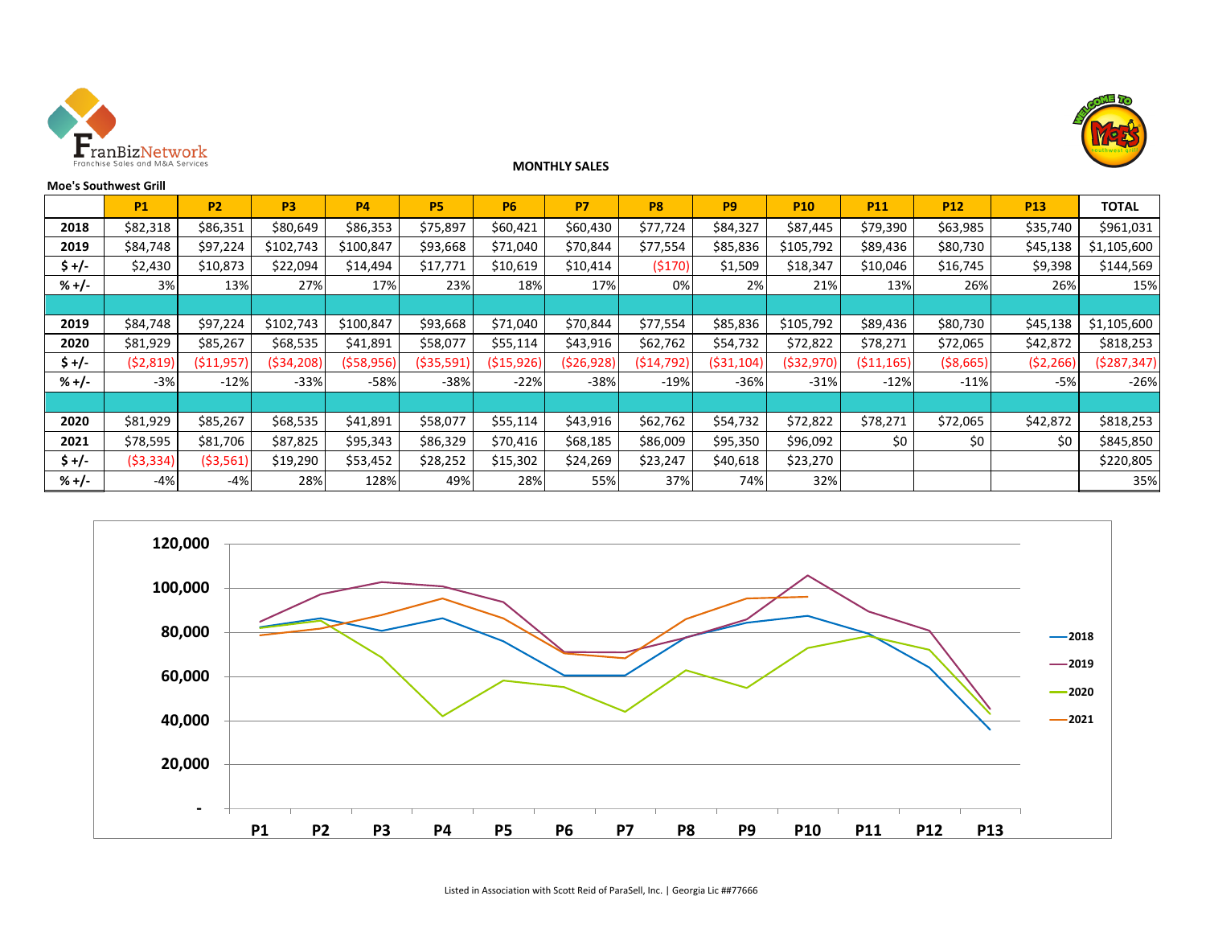

**Moe's Southwest Grill**



|         | <b>P1</b>  | <b>P2</b>    | P <sub>3</sub> | <b>P4</b>  | <b>P5</b>   | <b>P6</b>    | <b>P7</b>  | <b>P8</b>  | P <sub>9</sub> | <b>P10</b> | <b>P11</b>  | <b>P12</b> | <b>P13</b> | <b>TOTAL</b> |
|---------|------------|--------------|----------------|------------|-------------|--------------|------------|------------|----------------|------------|-------------|------------|------------|--------------|
| 2018    | \$82,318   | \$86,351     | \$80,649       | \$86,353   | \$75,897    | \$60,421     | \$60,430   | \$77,724   | \$84,327       | \$87,445   | \$79,390    | \$63,985   | \$35,740   | \$961,031    |
| 2019    | \$84,748   | \$97,224     | \$102,743      | \$100,847  | \$93,668    | \$71,040     | \$70,844   | \$77,554   | \$85,836       | \$105,792  | \$89,436    | \$80,730   | \$45,138   | \$1,105,600  |
| \$ +/-  | \$2,430    | \$10,873     | \$22,094       | \$14,494   | \$17,771    | \$10,619     | \$10,414   | (5170)     | \$1,509        | \$18,347   | \$10,046    | \$16,745   | \$9,398    | \$144,569    |
| $% +/-$ | 3%         | 13%          | 27%            | 17%        | 23%         | 18%          | 17%        | 0%         | 2%             | 21%        | 13%         | 26%        | 26%        | 15%          |
|         |            |              |                |            |             |              |            |            |                |            |             |            |            |              |
| 2019    | \$84,748   | \$97,224     | \$102,743      | \$100,847  | \$93,668    | \$71,040     | \$70,844   | \$77,554   | \$85,836       | \$105,792  | \$89,436    | \$80,730   | \$45,138   | \$1,105,600  |
| 2020    | \$81,929   | \$85,267     | \$68,535       | \$41,891   | \$58,077    | \$55,114     | \$43,916   | \$62,762   | \$54,732       | \$72,822   | \$78,271    | \$72,065   | \$42,872   | \$818,253    |
| $$ +/-$ | ( \$2,819) | ( \$11, 957] | (534, 208)     | (558, 956) | ( \$35,591) | ( \$15, 926) | (526, 928) | (514, 792) | ( \$31, 104]   | (\$32,970) | ( \$11,165) | ( \$8,665) | ( \$2,266) | (5287, 347)  |
| $% +/-$ | $-3%$      | $-12%$       | $-33%$         | $-58%$     | $-38%$      | $-22%$       | $-38%$     | $-19%$     | $-36%$         | $-31%$     | $-12%$      | $-11%$     | $-5%$      | $-26%$       |
|         |            |              |                |            |             |              |            |            |                |            |             |            |            |              |
| 2020    | \$81,929   | \$85,267     | \$68,535       | \$41,891   | \$58,077    | \$55,114     | \$43,916   | \$62,762   | \$54,732       | \$72,822   | \$78,271    | \$72,065   | \$42,872   | \$818,253    |
| 2021    | \$78,595   | \$81,706     | \$87,825       | \$95,343   | \$86,329    | \$70,416     | \$68,185   | \$86,009   | \$95,350       | \$96,092   | \$0         | \$0        | \$0        | \$845,850    |
| $$+/-$  | ( \$3,334) | ( \$3,561]   | \$19,290       | \$53,452   | \$28,252    | \$15,302     | \$24,269   | \$23,247   | \$40,618       | \$23,270   |             |            |            | \$220,805    |
| $% +/-$ | $-4%$      | $-4%$        | 28%            | 128%       | 49%         | 28%          | 55%        | 37%        | 74%            | 32%        |             |            |            | 35%          |

**MONTHLY SALES**